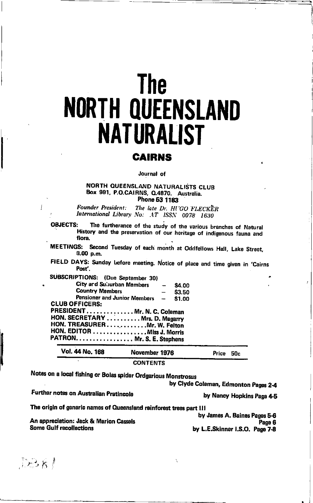# **The NORTH QUEENSLAND NATURALIST**

### **CAIRNS**

#### Journal of

#### NORTH QUEENSLAND NATURALISTS CLUB Box 991, P.O.CAIRNS, Q.4870. Australia. Phone 53 1183

**Founder President:** The late Dr. HI'GO FLECKER International Library No: AT ISSN 0078 1630

**OBJECTS:** The furtherance of the study of the various branches of Natural History and the preservation of our heritage of indigenous fauna and flora.

**MEETINGS:** Second Tuesday of each month at Oddfellows Hall, Lake Street,  $3.00 p.m.$ 

FIELD DAYS: Sunday before meeting. Notice of place and time given in 'Cairns Post'.

| Vol. 44 No. 168                                                                                                            | November 1976<br><b>CONTENTS</b> | Price | 50c |
|----------------------------------------------------------------------------------------------------------------------------|----------------------------------|-------|-----|
| HON. SECRETARY  Mrs. D. Magarry<br>HON. TREASURERMr. W. Felton<br>HON. EDITOR Miss J. Morris<br>PATRON. Mr. S. E. Stephens |                                  |       |     |
| PRESIDENT Mr. N. C. Coleman                                                                                                |                                  |       |     |
| Pensioner and Junior Members -<br><b>CLUB OFFICERS:</b>                                                                    | \$1.00                           |       |     |
| <b>Country Members</b>                                                                                                     | \$3.50                           |       |     |
| SUBSCRIPTIONS: (Due September 30)<br>City and Suburban Members                                                             | \$4.00                           |       |     |

Notes on a local fishing or Bolas spider Ordgarious Monstrosus

by Clyde Coleman, Edmonton Pages 2-4

Further notes on Australian Pratincole

by Nancy Hopkins Page 4-5

The origin of generic names of Queensland rainforest trees part III

An appreciation: Jack & Marion Cassels Some Gulf recollections

by James A. Baines Pages 5-6 Page 6 by L.E.Skinner I.S.O. Page 7-8

 $DSk$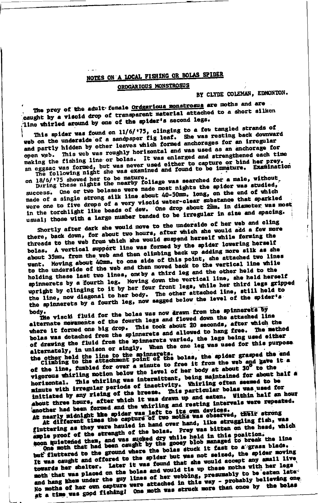# NOTES ON A LOCAL FISHING OR BOLAS SPIDER

#### ORDGARIOUS MONSTROSUS

BY CLYDE COLEMAN, EDMONTON.

The prey of the adult female <u>Ordgarious monstrosus</u> are moths and are caught by a viscid drop of transparent material attached to a short sliken line whirled around by one of the spider's second legs.

This spider was found on 11/6/'75, clinging to a few tangled strands of web on the underside of a sandpaper fig leaf. She was resting back downward and partly hidden by other leaves which formed anchorages for an irregular open web. This web was roughly horizontal and was used as an anchorage for making the fishing line or bolas. It was enlarged and strengthened each time an eggsac was formed, but was never used either to capture or bind her prey.<br>an eggsac was formed, but was never used either to capture or bind her prey.<br>The following night she was examined and found to be immature. Exami

on 18/6/175 showed her to be mature.<br>During these nights the nearby foliage was searched for a male, without, success. One or two bolases were made most nights the spider was studied, made of a single strong silk line about 40-50mm. long, on the end of which were one to five drops of a very viscid water-clear substance that sparkled in the torchlight like beads of dew. One drop about 2mm, in diameter was most usual; those with a large number tended to be irregular in size and spacing.

Shortly after dark she would move to the underside of her web and cling there, back down, for about two hours, after which ahe would add a few more threads to the web from which she would suspend herself while forming the bolas. A vertical support line was formed by the spider lowering herself about 35mm. from the web and then climbing back up adding more silk as she went. Moving about 40mm, to one side of this point, she attached two lines to the underside of the web and then moved back to the vertical line while holding these last two lines, oneby a third leg and the other held to the spinnerets by a fourth leg. Moving down the vertical line, she held herself upright by clinging to it by her four front legs, while her third legs gripped the line, now diagonal to her body. The other attached line, still held to the spinnerets by a fourth leg, now sagged below the level of the spider's

Ite viscid fluid for the bolas was now drawn from the spinnerets by body. alternate meraments of the fourth legs and flowed down the attached line where it formed one big drop. This took about 20 seconds, after which the bolas was detached from the spinnerets and allowed to hang free. The method of drawing the fluid from the spinnerets varied, the legs being used either alternately, in unison or singly. When the one leg was used for this purpose. the other held the line to the spinnerets.<br>Climbing to the attachment point of the bolas, the spider grasped the end

of the line, fumbled for over a minute to free it from the web and gave it a vigorous whirling motion below the level of her body at about 30° to the horizontal. This whirling was intermittent, being maintained for about half a minute with irregular periods of inactivity. Whirling often seemed to be initiated by any rising of the breeze. This particular bolas was used for about three hours, after which it was drawn up and eaten. Within half an hour another had been formed and the whirling and resting intervals were repeated. At nearly midnight the spider was left to its own devices. Their strong At different times the capture of two moths was observed, their strong

gluttering as they were hauled in hand over hand, like struggling fish, was ample proof of the strength of the bolas. Prey was bitten on the head, which coon quietened them, and was sucked dry while held in this position.<br>One moth that had been caught by the googy blob managed to break the line

but fluttered to the ground where the bolas stuck it fast to a grass blade. It was caught and offered to the spider but was not seized, the spider moving towards her shelter. Later it was found that she would accept any small live moth that was placed on the bolas and would tie up these moths with her legs and hang them under the guy lines of her webbing, presumably to be eaten late. No moths of her own capture were attached in this way - probably believing one at a time was good fishing! One moth was struck more than once by the bolas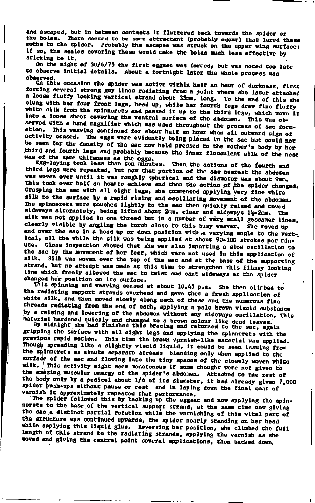and escaped, but in between contacts it fluttered back towards the spider or the bolas. There seemed to be some attractant (probably odour) that lured these moths to the spider. Probably the escapee was struck on the upper wing surface; if so, the scales covering these would make the bolas much less effective by sticking to it.

On the night of 30/6/75 the first eggsac was formed; but was noted too late to observe initial details. About a fortnight later the whole process was

observed.<br>On this occasion the spider was active within half an hour of darkness, first<br>example in the attended forming several strong guy lines radiating from a point where she later attached a loose fluffy looking vertical strand about 35mm. long. To the end of this she clung with her four front legs, head up, while her fourth legs drew fine fluffy white silk from the spinnerets and passed it up to the third legs, which wove it into a loose sheet covering the ventral surface of the abdomen. This was observed with a hand magnifier which was used throughout the process of sac formation. This weaving continued for about half an hour when all outward sign of activity ceased. The eggs were evidently being placed in the sac but could not be seen for the density of the sac now held pressed to the mother's body by her third and fourth legs and probably because the inner flocculent silk of the nest was of the same whiteness as the eggs.<br>Egg-laying took less than ten minutes. Then the actions of the fourth and

third legs were repeated, but now that portion of the sac nearest the abdomen was woven over until it was roughly spherical and the diameter was about 9mm. This took over half an hourto achieve and then the action of the spider changed. Grasping the sac with all eight legs, she commenced applying very fine white silk to the surface by a rapid rising and oscillating movement of the abdomen. The spinnerets were touched lightly to the sac then quickly raised and moved sideways alternately, being lifted about 2mm. clear and sideways 1}-2mm. The silk was not applied in one thread but in a number of very small gossamer lines, clearly visible by angling the torch close to this busy weaver. She moved up and over the sac in a head up or down position with a varying angle to the vertical, all the while the silk was being applied at about 90-100 strokes per minute. Close inspection showed that she was also imparting a slow oscillation to the sac by the movement of her feet, which were not used in this application of silk. Silk was woven over the top of the sac and at the base of the supporting strand, but no attempt was made at this time to strengthen this flimsy looking line which freely allowed the sac to twist and cant sideways as the spider changed her position on its surface.

This spinning and weaving ceased at about 10.45 p.m. She then climbed to the radiating support strands overhead and gave them a fresh application of white silk, and then moved slowly along each of these and the numerous fine threads radiating from the end of each, applying a pale brown viscid substance by a raising and lowering of the abdomen without any sideways oscillation. This

material hardened quickly and changed to a brown colour like dead leaves.<br>By midnight she had finished this bracing and returned to the sac, again gripping the surface with all eight legs and applying the spinnerets with the previous rapid motion. This time the brown varnish-like material was applied.<br>Though spreading like a slightly viscid liquid, it could be seen issuing from the spinnerets as minute separate streams blending only when applied to the surface of the sac and flowing into the tiny spaces of the closely woven white silk. This activity might seem monotonous if some thought were not given to the amazing muscular energy of the spider's abdomen. Attached to the rest of the body only by a pedicel about 1/6 of its diameter, it had already given 7,000 spider push-ups without pause or rest and in laying down the final coat of

varnish it approximately repeated that performance.<br>The spider followed this by backing up the eggsac and now applying the spinnerets to the base of the vertical support strand, at the same time now giving the sac a distinct partial rotation while the varnishing of this vital part of the structure was continued upwards, the spider nearly standing on her head while applying this liquid glue. Reversing her position, she climbed the full length of this strand to the radiating strands, applying the varnish as she moved and giving the central point several applications, then backed down,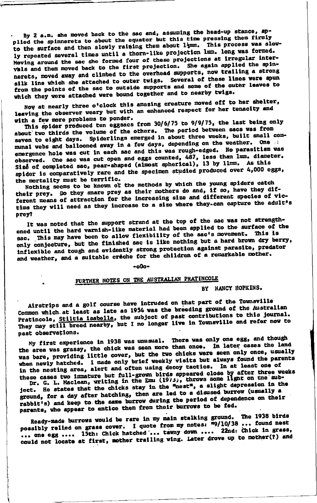By 2 a.m. she moved back to the sac and, assuming the head-up stance, applied the spinnerets to about the equator but this time pressing them firmly to the surface and then slowly raising them about 14mm. This process was slowly repeated several times until a thorn-like projection lmm. long was formed. Moving around the sac she formed four of these projections at irregular intervals and then moved back to the first projection. She again applied the spinnerets, moved away and climbed to the overhead supports, now trailing a strong silk line which she attached to outer twigs. Several of these lines were spun from the points of the sac to outside supports and some of the outer leaves to which they were attached were bound together and to nearby twigs.

Now at nearly three o'clock this amazing creature moved off to her ahelter, leaving the observer weary but with an enhanced respect for her tenacity and with a few more problems to ponder.

This spider produced ten eggsacs from 30/6/75 to 9/9/75, the last being only about two thirds the volume of the others. The period between sacs was from seven to eight days. Spiderlings emerged in about three weeks, built small communal webs and ballooned away in a few days, depending on the weather. One emergence hole was cut in each sac and this was rough-edged. No parasitism was observed. One sac was cut open and eggs counted, 487, less than lmm. diameter. Size of completed sac, pear-shaped (almost spherical), 13 by llmm. As this spider is comparatively rare and the specimen studied produced over 4,000 eggs. the mortality must be terrific.

Nothing seems to be known of the methods by which the young spiders catch their prey. Do they snare prey as their mothers do and, if so, have they different means of attraction for the increasing size and different species of victims they will need as they increase to a size where they-can capture the adult's prey?

It was noted that the support strand at the top of the sac was not strengthened until the hard varnish-like material had been applied to the surface of the sac. This may have been to allow flexibility of the sac's movement. This is only conjecture, but the finished sac is like nothing but a hard brown dry berry, inflexible and tough and evidently strong protection against parasite, predator and weather, and a suitable creche for the children of a remarkable mother.

 $-000-$ 

## FURTHER NOTES ON THE AUSTRALIAN PRATINCOLE

BY NANCY HOPKINS.

Airstrips and a golf course have intruded on that part of the Townsville Common which at least as late as 1954 was the breeding ground of the Australian Pratincole, Stiltia isabella, the subject of past contributions to this journal. They may still breed nearby, but I no longer live in Townsville and refer now to past observations.

My first experience in 1938 was unusual. There was only one egg, and though the area was grassy, the chick was seen more than once. In later cases the land was bare, providing little cover, but the two chicks were seen only once, usually when newly hatched. I made only brief weekly visits but always found the parents in the nesting area, alert and often using decoy tactics. In at least one of these cases two immature but full-grown birds appeared close by after three weeks<br>Dr. G. L. Maclean, writing in the Emu (1973), throws some light on the sub-

ject. He states that the chicks stay in the "nest", a slight depression in the ground, for a day after hatching, then are led to a disused burrow (usually a rabbit's) and keep to the same burrow during the period of dependence on their parents, who appear to entice them from their burrows to be fed.

Ready-made burrows would be rare in my main stalking ground. The 1938 birds possibly relied on grass cover. I quote from my notes:  $\overline{19}/10/38$  ... found nest ... one egg .... 15th: Chick hatched ... tawny down .... 22nd: Chick in grass, could not locate at first, mother trailing wing. Later drove up to mother(?) and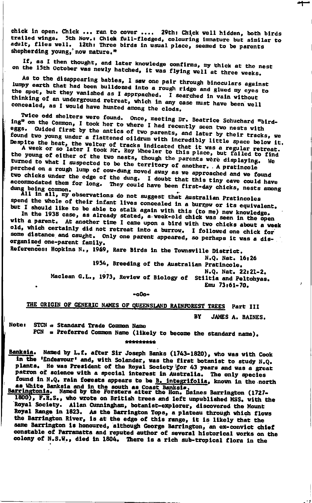chick in open. Chick ... ran to cover .... 29th: Chick well hidden, both birds trailed wings. 5th Nov.: Chick full-fledged, colouring immature but similar to adult, flies well. 12th: Three birds in usual place, seemed to be parents shepherding young, now mature."

If, as I then thought, and later knowledge confirms, my thick at the nest on the 15th October was newly hatched, it was flying well at three weeks.

As to the disappearing babies, I saw one pair through binoculars against lumpy earth that had been buildozed into a rough ridge and glued my eyes to the spot, but they vanished as I approached. I searched in vain without thinking of an underground retreat, which in any case must have been well concealed, as I would have hunted among the clods.

Twice odd shelters were found. Once, meeting Dr. Beatrice Schuchard "birding" on the Common, I took her to where I had recently seen two nests with eggs. Guided first by the antics of two parents, and later by their tracks, we found two young under a flattened oildrum with incredibly little space below it.

Despite the heat, the welter of tracks indicated that it was a regular retreat.<br>A week or so later I took Mr. Roy Wheeler to this place, but failed to find the young of either of the two nests, though the parents were displaying. turned to what I suspected to be the territory of another. A pratincole - We perched on a rough lump of cow-dung moved away as we approached and we found two chicks under the edge of the dung. I doubt that this tiny cave could have accommodated them for long. They could have been first-day chicks, nests among

dung being common.<br>All in all, my observations do not suggest that Australian Pratincoles spend the whole of their infant lives concealed in a burrow or its equivalent.

but I should like to be able to stalk again with this (to me) new knowledge,<br>In the 1938 case, as already stated, a week-old chick was seen in the open with a parent. At another time I came upon a bird with two chicks about a week old, which certainly did not retreat into a burrow. I followed one chick for some distance and caught. Only one parent appeared, so perhaps it was a disorganized one-parent family. References: Hopkins N., 1969, Rare Birds in the Townsville District.

N.Q. Nat. 16:26 1954, Breeding of the Australian Pratincole. N.Q. Nat. 22:21-2. Maclean G.L., 1973, Review of Biology of Stiltia and Peltohyas. Emi 73:61-70.

 $-000-$ 

#### THE ORIGIN OF GENERIC NAMES OF QUEENSLAND RAINFOREST TREES Part III RV

JAMES A. BAINES.

STCN = Standard Trade Common Name Note:

PCN = Preferred Common Name (likely to become the standard name). \*\*\*\*\*\*\*\*\*

Banksia. Named by L.f. after Sir Joseph Banks (1743-1820), who was with Cook In the 'Endeavour' and, with Solander, was the first botanist to study N.Q. plants. He was President of the Royal Society for 43 years and was a great patron of science with a special interest in Australia. The only species found in N.Q. rain fosests appears to be B. integrifolia, known in the north as White Banksia and in the south as Coast Banksia between the south as Coast Banksia between the Hon. Daines Barrington (1727-

1800), F.R.S., who wrote on British trees and left unpublished MSS. with the Royal Society. Allan Cunningham, botanist-explorer, discovered the Mount Royal Range in 1823. As the Barrington Tops, a plateau through which flows<br>the Barrington River, is at the edge of this range, it is likely that the same Barrington is honoured, although George Barrington, an ex-convict chief constable of Parramatta and reputed author of several historical works on the colony of N.S.W., died in 1804. There is a rich sub-tropical flora in the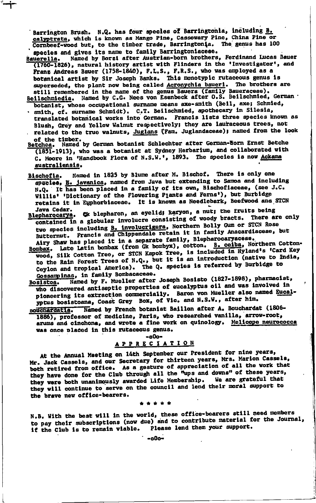Barrington Brush. N.Q. has four species of Barringtonia, including B. calyptrata, which is known as Mango Pine, Cassowary Pine, China Pine or Cornbeef-wood but, to the timber trade, Barringtonia. The genus has 100 species and gives its name to family Barringtoniaceae.

- Named by Borzi after Austrian-born brothers, Ferdinand Lucas Bauer **Bauerella.** (1760-1826), natural history artist with Flinders in the 'Investigator', and Franz Andreas Bauer (1758-1840), F.L.S., F.R.S., who was employed as a botanical artist by Sir Joseph Banks. This monotypic rutaceous genus is superseded, the plant now being called Acronychia baueri. The brothers are still remembered in the name of the genus Bauera (family Baueraceae).<br>Beilschmiedie. Named by C.G. Nees von Esenbeck after O.S. Beilschmied, German
- botanist, whose occupational surname means axe-smith (Beil, axe; Schmied, · smith, cf. surname Schmidt). C.T. Beilschmied, apothecary in Silesia, translated botanical works into German. Francis lists three species known as Blush, Grey and Yellow Walnut respectively; they are lauraceous trees, not related to the true walnuts, Juglans (Fam. Juglandaceae); named from the look
- of the timber.<br>stchea. Named by German botanist Schlechter after German-Worn Ernst Betche Betchea. (1851-1913), who was a botanist at Sydney Herbarium, and collaborated with C. Moore in 'Handbook Flora of N.S.W.', 1893. The species is now Ackama australiensis.
- Named in 1825 by Blume after M. Bischof. There is only one Bischofia. species, E. javanica, named from Java but extending to Samoa and including N.Q. It has been placed in a family of its own, Bischofiaceae, (see J.C. Willis' 'Dictionary of the Flowering Plants and Ferns'), but Burbidge<br>retains it in Euphorbiaceae. It is known as Needlebark, Beefwood and STCN
- Blepharocarya. G: blepharon, an eyelid; karyon, a nut; the fruits being contained in a globular involucre consisting of woody bracts. There are only two species including **B. involucrigers**, Northern Bolly Gum or STCN Rose Butternut. Francis and Chippendale retain it in family Anacardiaceae, but Airy Shaw has placed it in a separate family, Blepharocaryaceae.
- Bombax. Late Latin bombax (from Gk bombyx), cotton. B. celba, Northern Cottonwood, Silk Cotton Tree, or STCN Kapok Tree, is included in Hyland's 'Card Key to the Rain Forest Trees of N.Q., but it is an introduction (native to India, Ceylon and tropical America). The Q. species is referred by Burbidge to Gossampinas, in family Bombacaceae.

Named by F. Mueller after Joseph Bosisto (1827-1898), pharmacist, Bosistoa. who discovered antiseptic properties of eucalyptus oil and was involved in pioneering its extraction commercially. Baron von Mueller also named Eucalyptus bosistoana, Coast Grey Box, of Vic. and N.S.W., after him.

Named by French botanist Baillon after A. Bouchardat (1806-**Bouchardatia.** 1886), professor of medicine, Paris, who researched vanilla, arrow-root, arums and cinchona, and wrote a fine work on quinology. Melicope neurococca was once placed in this rutaceous genus.

 $-000-$ 

#### **APPRECIATION**

At the Annual Meeting on 14th September our President for nine years, Mr. Jack Cassels, and our Secretary for thirteen years, Mrs. Marion Cassels, both retired from office. As a gesture of appreciation of all the work that they have done for the Club through all the "ups and downs" of these years, We are grateful that they were both unanimously awarded Life Membership. they will continue to serve on the council and lend their moral support to the brave new office-bearers.

\* \* \* \*

N.B. With the best will in the world, these office-bearers still need members to pay their subscriptions (now due) and to contribute material for the Journal, Please lend them your support. if the Club is to remain viable.

 $-$  -000-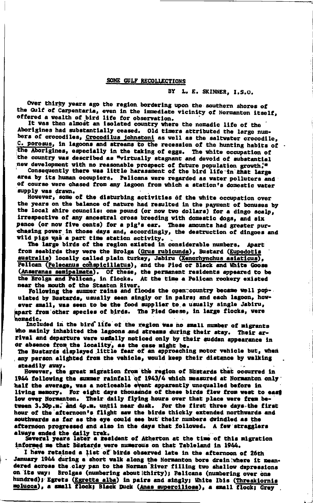#### SOME GULF RECOLLECTIONS

BY L. E. SKINNER, I.S.O.

Over thirty years ago the region bordering upon the southern shores of the Gulf of Carpentaria, even in the immediate vicinity of Normanton itself, offered a wealth of bird life for observation.

It was then almost an isolated country where the nomadic life of the Aborigines had substantially ceased. Old timers attributed the large numbers of crocodiles, Crocodilus johnstoni as well as the saltwater crocodile, C. porosus, in lagoons and streams to the recession of the hunting habits of . the Aborigines, especially in the taking of eggs. The white occupation of the country was described as "virtually stagnant and devoid of substantial new development with no reasonable prospect of future population growth."

Consequently there was little harassment of the bird life in that large area by its human occupiers. Pelicans were regarded as water polluters and of course were chased from any lagoon from which a station's domestic water supply was drawn.

However, some of the disturbing activities of the white occupation over the years on the balance of nature had resulted in the payment of bonuses by the local shire councils: one pound (or now two dollars) for a dingo scalp, irrespective of any ancestral cross breeding with domestic dogs, and six pence (or now five cents) for a pig's ear. These amounts had greater purchasing power in those days and, accordingly, the destruction of dingoes and wild pigs was a part time station activity.

The large birds of the region existed in considerable numbers. Apart from seabirds they were the Brolga (Grus rubicunda), Bustard (Eupodotis australis) locally called plain turkey, Jabiru (Xenorhynchus asiaticus), Pelican (Pelecanus cohspicillatus), and the Pied or Black and White Goose (Anseranas semipalmata). Of these, the permanent residents appeared to be the Brolga and Pelican, in flocks. At the time a Pelican rookery existed near the mouth of the Staaten River.<br>Following the summer rains and floods the open: country became well pop-

ulated by Bustards, usually seen singly or in pairs; and each lagoon, however small, was seen to be the food supplier to a usually single Jabiru, spart from other species of birds. The Pied Geese, in large flocks, were nomadic.

Included in the bird life of the region was no small number of migrants who mainly inhabited the lagoons and streams during their stay. Their arrival and departure were usdally noticed only by their sudden appearance in

or absence from the locality, as the case might be.<br>The Bustards displayed little fear of an approaching motor vehicle but, when any person alighted from the vehicle, would keep their distance by walking steadily away.

However, the great migration from the region of Bustards that occurred in 1944 following the summer rainfall of 1943/4 which measured at Normanton only half the average, was a noticeable event apparently unequalled before in living memory. For eight days thousands of these birds flew from west to east low ever Normanton. Their daily flying hours over that place were frem between 3.30p.m. and 4p.m. until near dusk. For the first three days the first hour of the afternoon's flight saw the birds thickly extended northwards and southwards as far as the eye could see but their numbers dwindled as the afternoon progressed and also in the days that followed. A few stragglers

always ended the daily trek.<br>Several years later a resident of Atherton at the time of this migration informed me that Bustards were numerous on that Tableland in 1944.

I have retained a list of birds observed late in the afternoon of 26th January 1944 during a short walk along the Normanton bore drain where it meandered across the clay pan to the Norman River filling two shallow depressions on its way: Brolgas (numbering about thirty); Pelicans (numbering over one hundred); Egrets (Egretta alba) in pairs and singly; White Ibis (Threskiornia molucca), a small flock; Black Duck (Anas superciliosa), a small flock; Grey